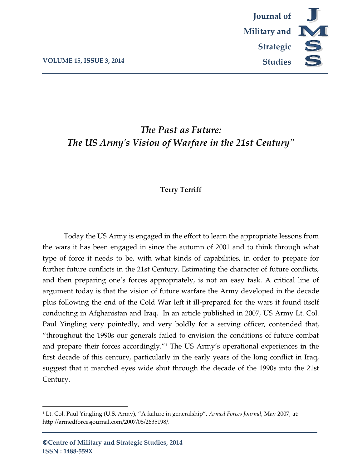

# *The Past as Future: The US Army's Vision of Warfare in the 21st Century"*

## **Terry Terriff**

Today the US Army is engaged in the effort to learn the appropriate lessons from the wars it has been engaged in since the autumn of 2001 and to think through what type of force it needs to be, with what kinds of capabilities, in order to prepare for further future conflicts in the 21st Century. Estimating the character of future conflicts, and then preparing one's forces appropriately, is not an easy task. A critical line of argument today is that the vision of future warfare the Army developed in the decade plus following the end of the Cold War left it ill-prepared for the wars it found itself conducting in Afghanistan and Iraq. In an article published in 2007, US Army Lt. Col. Paul Yingling very pointedly, and very boldly for a serving officer, contended that, "throughout the 1990s our generals failed to envision the conditions of future combat and prepare their forces accordingly."<sup>1</sup> The US Army's operational experiences in the first decade of this century, particularly in the early years of the long conflict in Iraq, suggest that it marched eyes wide shut through the decade of the 1990s into the 21st Century.

l

<sup>1</sup> Lt. Col. Paul Yingling (U.S. Army), "A failure in generalship", *Armed Forces Journal*, May 2007, at: http://armedforcesjournal.com/2007/05/2635198/.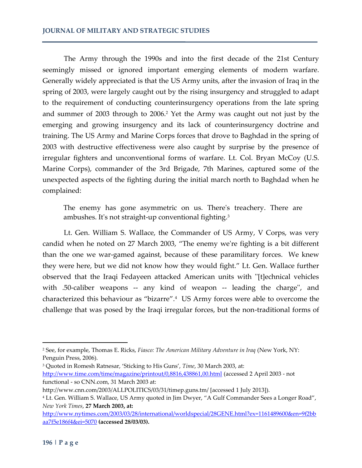The Army through the 1990s and into the first decade of the 21st Century seemingly missed or ignored important emerging elements of modern warfare. Generally widely appreciated is that the US Army units, after the invasion of Iraq in the spring of 2003, were largely caught out by the rising insurgency and struggled to adapt to the requirement of conducting counterinsurgency operations from the late spring and summer of 2003 through to 2006.<sup>2</sup> Yet the Army was caught out not just by the emerging and growing insurgency and its lack of counterinsurgency doctrine and training. The US Army and Marine Corps forces that drove to Baghdad in the spring of 2003 with destructive effectiveness were also caught by surprise by the presence of irregular fighters and unconventional forms of warfare. Lt. Col. Bryan McCoy (U.S. Marine Corps), commander of the 3rd Brigade, 7th Marines, captured some of the unexpected aspects of the fighting during the initial march north to Baghdad when he complained:

The enemy has gone asymmetric on us. There's treachery. There are ambushes. It's not straight-up conventional fighting.<sup>3</sup>

Lt. Gen. William S. Wallace, the Commander of US Army, V Corps, was very candid when he noted on 27 March 2003, "The enemy we're fighting is a bit different than the one we war-gamed against, because of these paramilitary forces. We knew they were here, but we did not know how they would fight." Lt. Gen. Wallace further observed that the Iraqi Fedayeen attacked American units with ''[t]echnical vehicles with .50-caliber weapons -- any kind of weapon -- leading the charge", and characterized this behaviour as "bizarre".<sup>4</sup> US Army forces were able to overcome the challenge that was posed by the Iraqi irregular forces, but the non-traditional forms of

<sup>2</sup> See, for example, Thomas E. Ricks, *Fiasco: The American Military Adventure in Iraq* (New York, NY: Penguin Press, 2006).

<sup>3</sup> Quoted in Romesh Ratnesar, 'Sticking to His Guns', *Time*, 30 March 2003, at: <http://www.time.com/time/magazine/printout/0,8816,438861,00.html> (accessed 2 April 2003 - not functional - so CNN.com, 31 March 2003 at:

http://www.cnn.com/2003/ALLPOLITICS/03/31/timep.guns.tm/ [accessed 1 July 2013]).

<sup>4</sup> Lt. Gen. William S. Wallace, US Army quoted in Jim Dwyer, "A Gulf Commander Sees a Longer Road", *New York Times*, **27 March 2003, at:** 

[http://www.nytimes.com/2003/03/28/international/worldspecial/28GENE.html?ex=1161489600&en=9f2bb](http://www.nytimes.com/2003/03/28/international/worldspecial/28GENE.html?ex=1161489600&en=9f2bbaa7f5e186f4&ei=5070) [aa7f5e186f4&ei=5070](http://www.nytimes.com/2003/03/28/international/worldspecial/28GENE.html?ex=1161489600&en=9f2bbaa7f5e186f4&ei=5070) **(accessed 28/03/03).**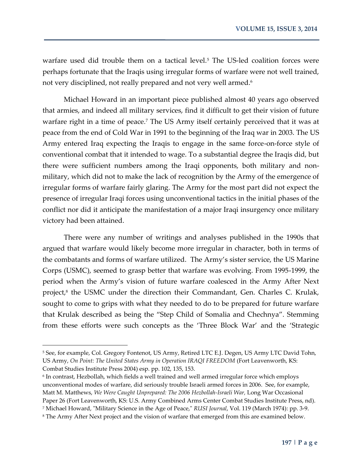warfare used did trouble them on a tactical level.<sup>5</sup> The US-led coalition forces were perhaps fortunate that the Iraqis using irregular forms of warfare were not well trained, not very disciplined, not really prepared and not very well armed.<sup>6</sup>

Michael Howard in an important piece published almost 40 years ago observed that armies, and indeed all military services, find it difficult to get their vision of future warfare right in a time of peace.<sup>7</sup> The US Army itself certainly perceived that it was at peace from the end of Cold War in 1991 to the beginning of the Iraq war in 2003. The US Army entered Iraq expecting the Iraqis to engage in the same force-on-force style of conventional combat that it intended to wage. To a substantial degree the Iraqis did, but there were sufficient numbers among the Iraqi opponents, both military and nonmilitary, which did not to make the lack of recognition by the Army of the emergence of irregular forms of warfare fairly glaring. The Army for the most part did not expect the presence of irregular Iraqi forces using unconventional tactics in the initial phases of the conflict nor did it anticipate the manifestation of a major Iraqi insurgency once military victory had been attained.

There were any number of writings and analyses published in the 1990s that argued that warfare would likely become more irregular in character, both in terms of the combatants and forms of warfare utilized. The Army's sister service, the US Marine Corps (USMC), seemed to grasp better that warfare was evolving. From 1995-1999, the period when the Army's vision of future warfare coalesced in the Army After Next project,<sup>8</sup> the USMC under the direction their Commandant, Gen. Charles C. Krulak, sought to come to grips with what they needed to do to be prepared for future warfare that Krulak described as being the "Step Child of Somalia and Chechnya". Stemming from these efforts were such concepts as the 'Three Block War' and the 'Strategic

<sup>5</sup> See, for example, Col. Gregory Fontenot, US Army, Retired LTC E.J. Degen, US Army LTC David Tohn, US Army, On Point: The United States Army in Operation IRAQI FREEDOM (Fort Leavenworth, KS: Combat Studies Institute Press 2004) esp. pp. 102, 135, 153.

 $^{\rm 6}$  In contrast, Hezbollah, which fields a well trained and well armed irregular force which employs unconventional modes of warfare, did seriously trouble Israeli armed forces in 2006. See, for example, Matt M. Matthews, *We Were Caught Unprepared: The 2006 Hezbollah-Israeli War,* Long War Occasional Paper 26 (Fort Leavenworth, KS: U.S. Army Combined Arms Center Combat Studies Institute Press, nd). <sup>7</sup> Michael Howard, "Military Science in the Age of Peace," *RUSI Journal*, Vol. 119 (March 1974): pp. 3-9.

<sup>&</sup>lt;sup>8</sup> The Army After Next project and the vision of warfare that emerged from this are examined below.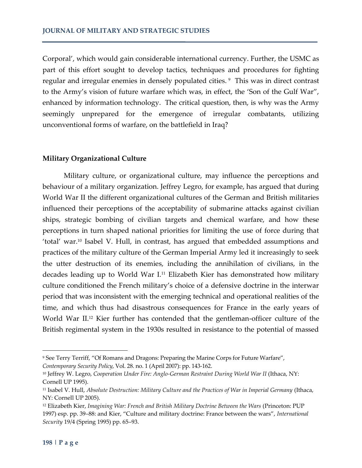Corporal', which would gain considerable international currency. Further, the USMC as part of this effort sought to develop tactics, techniques and procedures for fighting regular and irregular enemies in densely populated cities. <sup>9</sup> This was in direct contrast to the Army's vision of future warfare which was, in effect, the 'Son of the Gulf War", enhanced by information technology. The critical question, then, is why was the Army seemingly unprepared for the emergence of irregular combatants, utilizing unconventional forms of warfare, on the battlefield in Iraq?

### **Military Organizational Culture**

Military culture, or organizational culture, may influence the perceptions and behaviour of a military organization. Jeffrey Legro, for example, has argued that during World War II the different organizational cultures of the German and British militaries influenced their perceptions of the acceptability of submarine attacks against civilian ships, strategic bombing of civilian targets and chemical warfare, and how these perceptions in turn shaped national priorities for limiting the use of force during that 'total' war.<sup>10</sup> Isabel V. Hull, in contrast, has argued that embedded assumptions and practices of the military culture of the German Imperial Army led it increasingly to seek the utter destruction of its enemies, including the annihilation of civilians, in the decades leading up to World War I.<sup>11</sup> Elizabeth Kier has demonstrated how military culture conditioned the French military's choice of a defensive doctrine in the interwar period that was inconsistent with the emerging technical and operational realities of the time, and which thus had disastrous consequences for France in the early years of World War II.<sup>12</sup> Kier further has contended that the gentleman-officer culture of the British regimental system in the 1930s resulted in resistance to the potential of massed

<sup>9</sup> See Terry Terriff, "Of Romans and Dragons: Preparing the Marine Corps for Future Warfare", *Contemporary Security Policy*, Vol. 28. no. 1 (April 2007): pp. 143-162.

<sup>&</sup>lt;sup>10</sup> Jeffrey W. Legro, *Cooperation Under Fire: Anglo-German Restraint During World War II* (Ithaca, NY: Cornell UP 1995).

<sup>&</sup>lt;sup>11</sup> Isabel V. Hull, *Absolute Destruction: Military Culture and the Practices of War in Imperial Germany (Ithaca,* NY: Cornell UP 2005).

<sup>12</sup> Elizabeth Kier, *Imagining War: French and British Military Doctrine Between the Wars* (Princeton: PUP 1997) esp. pp. 39–88: and Kier, "Culture and military doctrine: France between the wars", *International Security* 19/4 (Spring 1995) pp. 65–93.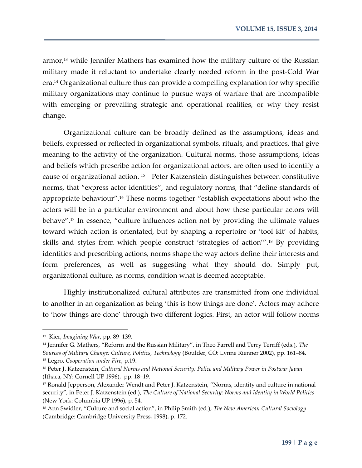armor,<sup>13</sup> while Jennifer Mathers has examined how the military culture of the Russian military made it reluctant to undertake clearly needed reform in the post-Cold War era.<sup>14</sup> Organizational culture thus can provide a compelling explanation for why specific military organizations may continue to pursue ways of warfare that are incompatible with emerging or prevailing strategic and operational realities, or why they resist change.

Organizational culture can be broadly defined as the assumptions, ideas and beliefs, expressed or reflected in organizational symbols, rituals, and practices, that give meaning to the activity of the organization. Cultural norms, those assumptions, ideas and beliefs which prescribe action for organizational actors, are often used to identify a cause of organizational action. <sup>15</sup> Peter Katzenstein distinguishes between constitutive norms, that "express actor identities", and regulatory norms, that "define standards of appropriate behaviour".<sup>16</sup> These norms together "establish expectations about who the actors will be in a particular environment and about how these particular actors will behave".<sup>17</sup> In essence, "culture influences action not by providing the ultimate values toward which action is orientated, but by shaping a repertoire or 'tool kit' of habits, skills and styles from which people construct 'strategies of action'".<sup>18</sup> By providing identities and prescribing actions, norms shape the way actors define their interests and form preferences, as well as suggesting what they should do. Simply put, organizational culture, as norms, condition what is deemed acceptable.

Highly institutionalized cultural attributes are transmitted from one individual to another in an organization as being 'this is how things are done'. Actors may adhere to 'how things are done' through two different logics. First, an actor will follow norms

<sup>13</sup> Kier, *Imagining War*, pp. 89–139.

<sup>14</sup> Jennifer G. Mathers, "Reform and the Russian Military", in Theo Farrell and Terry Terriff (eds.), *The Sources of Military Change: Culture, Politics, Technology* (Boulder, CO: Lynne Rienner 2002), pp. 161–84. <sup>15</sup> Legro, *Cooperation under Fire*, p.19.

<sup>16</sup> Peter J. Katzenstein, *Cultural Norms and National Security: Police and Military Power in Postwar Japan* (Ithaca, NY: Cornell UP 1996), pp. 18–19.

<sup>17</sup> Ronald Jepperson, Alexander Wendt and Peter J. Katzenstein, "Norms, identity and culture in national security", in Peter J. Katzenstein (ed.), *The Culture of National Security: Norms and Identity in World Politics* (New York: Columbia UP 1996), p. 54.

<sup>18</sup> Ann Swidler, "Culture and social action", in Philip Smith (ed.), *The New American Cultural Sociology* (Cambridge: Cambridge University Press, 1998), p. 172.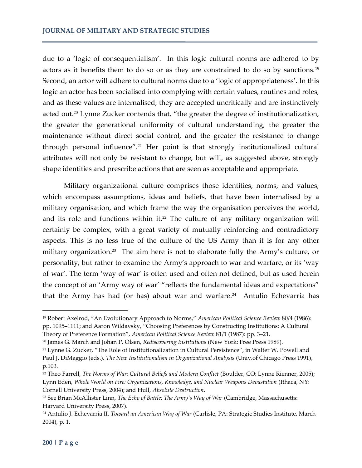due to a 'logic of consequentialism'. In this logic cultural norms are adhered to by actors as it benefits them to do so or as they are constrained to do so by sanctions.<sup>19</sup> Second, an actor will adhere to cultural norms due to a 'logic of appropriateness'. In this logic an actor has been socialised into complying with certain values, routines and roles, and as these values are internalised, they are accepted uncritically and are instinctively acted out.<sup>20</sup> Lynne Zucker contends that, "the greater the degree of institutionalization, the greater the generational uniformity of cultural understanding, the greater the maintenance without direct social control, and the greater the resistance to change through personal influence".<sup>21</sup> Her point is that strongly institutionalized cultural attributes will not only be resistant to change, but will, as suggested above, strongly shape identities and prescribe actions that are seen as acceptable and appropriate.

Military organizational culture comprises those identities, norms, and values, which encompass assumptions, ideas and beliefs, that have been internalised by a military organisation, and which frame the way the organisation perceives the world, and its role and functions within it.<sup>22</sup> The culture of any military organization will certainly be complex, with a great variety of mutually reinforcing and contradictory aspects. This is no less true of the culture of the US Army than it is for any other military organization.<sup>23</sup> The aim here is not to elaborate fully the Army's culture, or personality, but rather to examine the Army's approach to war and warfare, or its 'way of war'. The term 'way of war' is often used and often not defined, but as used herein the concept of an 'Army way of war' "reflects the fundamental ideas and expectations" that the Army has had (or has) about war and warfare.<sup>24</sup> Antulio Echevarria has

<sup>19</sup> Robert Axelrod, "An Evolutionary Approach to Norms," *American Political Science Review* 80/4 (1986): pp. 1095–1111; and Aaron Wildavsky, "Choosing Preferences by Constructing Institutions: A Cultural Theory of Preference Formation", *American Political Science Review* 81/1 (1987): pp. 3–21.

<sup>20</sup> James G. March and Johan P. Olsen, *Rediscovering Institutions* (New York: Free Press 1989).

<sup>21</sup> Lynne G. Zucker, "The Role of Institutionalization in Cultural Persistence", in Walter W. Powell and Paul J. DiMaggio (eds.), *The New Institutionalism in Organizational Analysis* (Univ.of Chicago Press 1991), p.103.

<sup>22</sup> Theo Farrell, *The Norms of War: Cultural Beliefs and Modern Conflict* (Boulder, CO: Lynne Rienner, 2005); Lynn Eden, *Whole World on Fire: Organizations, Knowledge, and Nuclear Weapons Devastation* (Ithaca, NY: Cornell University Press, 2004); and Hull, *Absolute Destruction*.

<sup>23</sup> See Brian McAllister Linn, *The Echo of Battle: The Army's Way of War* (Cambridge, Massachusetts: Harvard University Press, 2007).

<sup>24</sup> Antulio J. Echevarria II, *Toward an American Way of War* (Carlisle, PA: Strategic Studies Institute, March 2004), p. 1.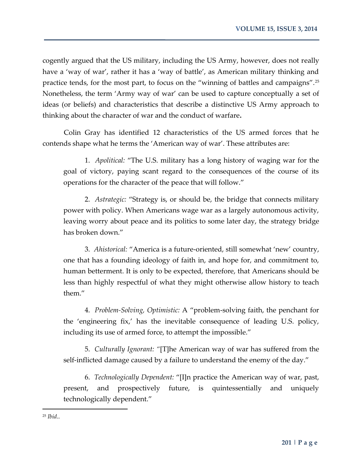cogently argued that the US military, including the US Army, however, does not really have a 'way of war', rather it has a 'way of battle', as American military thinking and practice tends, for the most part, to focus on the "winning of battles and campaigns".<sup>25</sup> Nonetheless, the term 'Army way of war' can be used to capture conceptually a set of ideas (or beliefs) and characteristics that describe a distinctive US Army approach to thinking about the character of war and the conduct of warfare**.** 

Colin Gray has identified 12 characteristics of the US armed forces that he contends shape what he terms the 'American way of war'. These attributes are:

1. *Apolitical:* "The U.S. military has a long history of waging war for the goal of victory, paying scant regard to the consequences of the course of its operations for the character of the peace that will follow."

2. *Astrategic:* "Strategy is, or should be, the bridge that connects military power with policy. When Americans wage war as a largely autonomous activity, leaving worry about peace and its politics to some later day, the strategy bridge has broken down."

3. *Ahistorical:* "America is a future-oriented, still somewhat 'new' country, one that has a founding ideology of faith in, and hope for, and commitment to, human betterment. It is only to be expected, therefore, that Americans should be less than highly respectful of what they might otherwise allow history to teach them."

4. *Problem-Solving, Optimistic:* A "problem-solving faith, the penchant for the 'engineering fix,' has the inevitable consequence of leading U.S. policy, including its use of armed force, to attempt the impossible."

5. *Culturally Ignorant: "*[T]he American way of war has suffered from the self-inflicted damage caused by a failure to understand the enemy of the day."

6. *Technologically Dependent:* "[I]n practice the American way of war, past, present, and prospectively future, is quintessentially and uniquely technologically dependent."

<sup>25</sup> *Ibid*..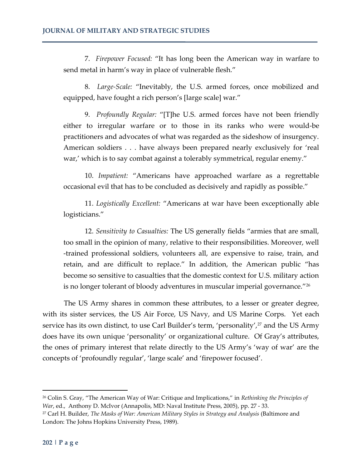7. *Firepower Focused:* "It has long been the American way in warfare to send metal in harm's way in place of vulnerable flesh."

8. *Large-Scale:* "Inevitably, the U.S. armed forces, once mobilized and equipped, have fought a rich person's [large scale] war."

9. *Profoundly Regular:* "[T]he U.S. armed forces have not been friendly either to irregular warfare or to those in its ranks who were would-be practitioners and advocates of what was regarded as the sideshow of insurgency. American soldiers . . . have always been prepared nearly exclusively for 'real war,' which is to say combat against a tolerably symmetrical, regular enemy."

10. *Impatient:* "Americans have approached warfare as a regrettable occasional evil that has to be concluded as decisively and rapidly as possible."

11. *Logistically Excellent:* "Americans at war have been exceptionally able logisticians."

12. *Sensitivity to Casualties:* The US generally fields "armies that are small, too small in the opinion of many, relative to their responsibilities. Moreover, well -trained professional soldiers, volunteers all, are expensive to raise, train, and retain, and are difficult to replace." In addition, the American public "has become so sensitive to casualties that the domestic context for U.S. military action is no longer tolerant of bloody adventures in muscular imperial governance."<sup>26</sup>

The US Army shares in common these attributes, to a lesser or greater degree, with its sister services, the US Air Force, US Navy, and US Marine Corps. Yet each service has its own distinct, to use Carl Builder's term, 'personality',<sup>27</sup> and the US Army does have its own unique 'personality' or organizational culture. Of Gray's attributes, the ones of primary interest that relate directly to the US Army's 'way of war' are the concepts of 'profoundly regular', 'large scale' and 'firepower focused'.

l

<sup>26</sup> Colin S. Gray, "The American Way of War: Critique and Implications," in *Rethinking the Principles of War*, ed., Anthony D. McIvor (Annapolis, MD: Naval Institute Press, 2005), pp. 27 - 33.

<sup>&</sup>lt;sup>27</sup> Carl H. Builder, *The Masks of War: American Military Styles in Strategy and Analysis* (Baltimore and London: The Johns Hopkins University Press, 1989).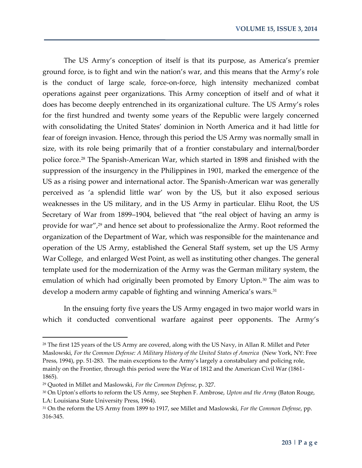The US Army's conception of itself is that its purpose, as America's premier ground force, is to fight and win the nation's war, and this means that the Army's role is the conduct of large scale, force-on-force, high intensity mechanized combat operations against peer organizations. This Army conception of itself and of what it does has become deeply entrenched in its organizational culture. The US Army's roles for the first hundred and twenty some years of the Republic were largely concerned with consolidating the United States' dominion in North America and it had little for fear of foreign invasion. Hence, through this period the US Army was normally small in size, with its role being primarily that of a frontier constabulary and internal/border police force.<sup>28</sup> The Spanish-American War, which started in 1898 and finished with the suppression of the insurgency in the Philippines in 1901, marked the emergence of the US as a rising power and international actor. The Spanish-American war was generally perceived as 'a splendid little war' won by the US, but it also exposed serious weaknesses in the US military, and in the US Army in particular. Elihu Root, the US Secretary of War from 1899–1904, believed that "the real object of having an army is provide for war",<sup>29</sup> and hence set about to professionalize the Army. Root reformed the organization of the Department of War, which was responsible for the maintenance and operation of the US Army, established the General Staff system, set up the US Army War College, and enlarged West Point, as well as instituting other changes. The general template used for the modernization of the Army was the German military system, the emulation of which had originally been promoted by Emory Upton.<sup>30</sup> The aim was to develop a modern army capable of fighting and winning America's wars.<sup>31</sup>

In the ensuing forty five years the US Army engaged in two major world wars in which it conducted conventional warfare against peer opponents. The Army's

<sup>&</sup>lt;sup>28</sup> The first 125 years of the US Army are covered, along with the US Navy, in Allan R. Millet and Peter Maslowski, *For the Common Defense: A Military History of the United States of America* (New York, NY: Free Press, 1994), pp. 51-283. The main exceptions to the Army's largely a constabulary and policing role, mainly on the Frontier, through this period were the War of 1812 and the American Civil War (1861- 1865).

<sup>29</sup> Quoted in Millet and Maslowski, *For the Common Defense*, p. 327.

<sup>30</sup> On Upton's efforts to reform the US Army, see Stephen F. Ambrose, *Upton and the Army* (Baton Rouge, LA: Louisiana State University Press, 1964).

<sup>31</sup> On the reform the US Army from 1899 to 1917, see Millet and Maslowski, *For the Common Defense*, pp. 316-345.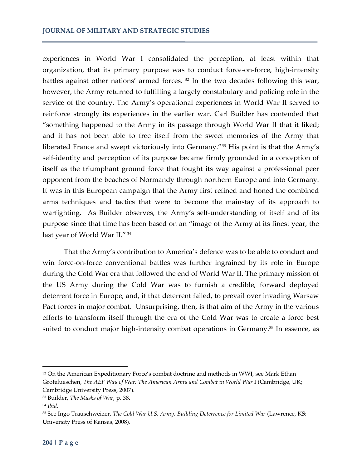experiences in World War I consolidated the perception, at least within that organization, that its primary purpose was to conduct force-on-force, high-intensity battles against other nations' armed forces.<sup>32</sup> In the two decades following this war, however, the Army returned to fulfilling a largely constabulary and policing role in the service of the country. The Army's operational experiences in World War II served to reinforce strongly its experiences in the earlier war. Carl Builder has contended that "something happened to the Army in its passage through World War II that it liked; and it has not been able to free itself from the sweet memories of the Army that liberated France and swept victoriously into Germany."<sup>33</sup> His point is that the Army's self-identity and perception of its purpose became firmly grounded in a conception of itself as the triumphant ground force that fought its way against a professional peer opponent from the beaches of Normandy through northern Europe and into Germany. It was in this European campaign that the Army first refined and honed the combined arms techniques and tactics that were to become the mainstay of its approach to warfighting. As Builder observes, the Army's self-understanding of itself and of its purpose since that time has been based on an "image of the Army at its finest year, the last year of World War II." <sup>34</sup>

That the Army's contribution to America's defence was to be able to conduct and win force-on-force conventional battles was further ingrained by its role in Europe during the Cold War era that followed the end of World War II. The primary mission of the US Army during the Cold War was to furnish a credible, forward deployed deterrent force in Europe, and, if that deterrent failed, to prevail over invading Warsaw Pact forces in major combat. Unsurprising, then, is that aim of the Army in the various efforts to transform itself through the era of the Cold War was to create a force best suited to conduct major high-intensity combat operations in Germany.<sup>35</sup> In essence, as

<sup>32</sup> On the American Expeditionary Force's combat doctrine and methods in WWI, see Mark Ethan Grotelueschen, *The AEF Way of War: The American Army and Combat in World War I (Cambridge, UK;* Cambridge University Press, 2007).

<sup>33</sup> Builder, *The Masks of War*, p. 38.

<sup>34</sup> *Ibid*.

<sup>35</sup> See Ingo Trauschweizer, *The Cold War U.S. Army: Building Deterrence for Limited War* (Lawrence, KS: University Press of Kansas, 2008).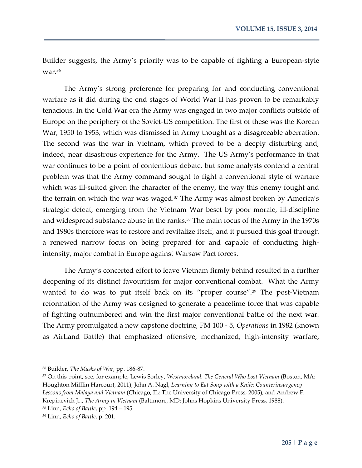Builder suggests, the Army's priority was to be capable of fighting a European-style war.<sup>36</sup>

The Army's strong preference for preparing for and conducting conventional warfare as it did during the end stages of World War II has proven to be remarkably tenacious. In the Cold War era the Army was engaged in two major conflicts outside of Europe on the periphery of the Soviet-US competition. The first of these was the Korean War, 1950 to 1953, which was dismissed in Army thought as a disagreeable aberration. The second was the war in Vietnam, which proved to be a deeply disturbing and, indeed, near disastrous experience for the Army. The US Army's performance in that war continues to be a point of contentious debate, but some analysts contend a central problem was that the Army command sought to fight a conventional style of warfare which was ill-suited given the character of the enemy, the way this enemy fought and the terrain on which the war was waged.<sup>37</sup> The Army was almost broken by America's strategic defeat, emerging from the Vietnam War beset by poor morale, ill-discipline and widespread substance abuse in the ranks.<sup>38</sup> The main focus of the Army in the 1970s and 1980s therefore was to restore and revitalize itself, and it pursued this goal through a renewed narrow focus on being prepared for and capable of conducting highintensity, major combat in Europe against Warsaw Pact forces.

The Army's concerted effort to leave Vietnam firmly behind resulted in a further deepening of its distinct favouritism for major conventional combat. What the Army wanted to do was to put itself back on its "proper course".<sup>39</sup> The post-Vietnam reformation of the Army was designed to generate a peacetime force that was capable of fighting outnumbered and win the first major conventional battle of the next war. The Army promulgated a new capstone doctrine, FM 100 - 5, *Operations* in 1982 (known as AirLand Battle) that emphasized offensive, mechanized, high-intensity warfare,

<sup>36</sup> Builder, *The Masks of War*, pp. 186-87.

<sup>37</sup> On this point, see, for example, Lewis Sorley, *Westmoreland: The General Who Lost Vietnam* (Boston, MA: Houghton Mifflin Harcourt, 2011); John A. Nagl, *Learning to Eat Soup with a Knife: Counterinsurgency Lessons from Malaya and Vietnam* (Chicago, IL: The University of Chicago Press, 2005); and Andrew F. Krepinevich Jr., *The Army in Vietnam* (Baltimore, MD: Johns Hopkins University Press, 1988).

<sup>38</sup> Linn, *Echo of Battle*, pp. 194 – 195. <sup>39</sup> Linn, *Echo of Battle*, p. 201*.*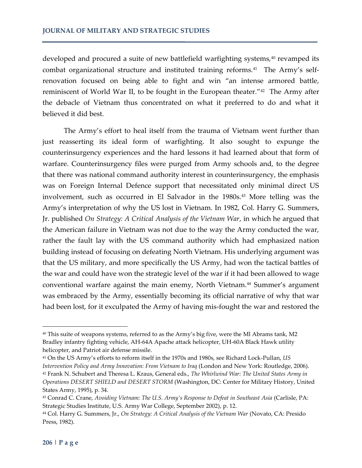developed and procured a suite of new battlefield warfighting systems,<sup>40</sup> revamped its combat organizational structure and instituted training reforms.<sup>41</sup> The Army's selfrenovation focused on being able to fight and win "an intense armored battle, reminiscent of World War II, to be fought in the European theater."<sup>42</sup> The Army after the debacle of Vietnam thus concentrated on what it preferred to do and what it believed it did best.

The Army's effort to heal itself from the trauma of Vietnam went further than just reasserting its ideal form of warfighting. It also sought to expunge the counterinsurgency experiences and the hard lessons it had learned about that form of warfare. Counterinsurgency files were purged from Army schools and, to the degree that there was national command authority interest in counterinsurgency, the emphasis was on Foreign Internal Defence support that necessitated only minimal direct US involvement, such as occurred in El Salvador in the 1980s.<sup>43</sup> More telling was the Army's interpretation of why the US lost in Vietnam. In 1982, Col. Harry G. Summers, Jr. published *On Strategy: A Critical Analysis of the Vietnam War*, in which he argued that the American failure in Vietnam was not due to the way the Army conducted the war, rather the fault lay with the US command authority which had emphasized nation building instead of focusing on defeating North Vietnam. His underlying argument was that the US military, and more specifically the US Army, had won the tactical battles of the war and could have won the strategic level of the war if it had been allowed to wage conventional warfare against the main enemy, North Vietnam.<sup>44</sup> Summer's argument was embraced by the Army, essentially becoming its official narrative of why that war had been lost, for it exculpated the Army of having mis-fought the war and restored the

<sup>40</sup> This suite of weapons systems, referred to as the Army's big five, were the Ml Abrams tank, M2 Bradley infantry fighting vehicle, AH-64A Apache attack helicopter, UH-60A Black Hawk utility helicopter, and Patriot air defense missile.

<sup>41</sup> On the US Army's efforts to reform itself in the 1970s and 1980s, see Richard Lock-Pullan, *US Intervention Policy and Army Innovation: From Vietnam to Iraq* (London and New York: Routledge, 2006). <sup>42</sup> Frank N. Schubert and Theresa L. Kraus, General eds., *The Whirlwind War: The United States Army in Operations DESERT SHIELD and DESERT STORM* (Washington, DC: Center for Military History, United States Army, 1995), p. 34.

<sup>43</sup> Conrad C. Crane, *Avoiding Vietnam: The U.S. Army's Response to Defeat in Southeast Asia* (Carlisle, PA: Strategic Studies Institute, U.S. Army War College, September 2002), p. 12.

<sup>44</sup> Col. Harry G. Summers, Jr., *On Strategy: A Critical Analysis of the Vietnam War* (Novato, CA: Presido Press, 1982).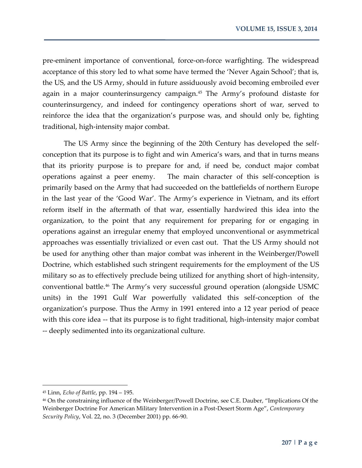pre-eminent importance of conventional, force-on-force warfighting. The widespread acceptance of this story led to what some have termed the 'Never Again School'; that is, the US, and the US Army, should in future assiduously avoid becoming embroiled ever again in a major counterinsurgency campaign.<sup>45</sup> The Army's profound distaste for counterinsurgency, and indeed for contingency operations short of war, served to reinforce the idea that the organization's purpose was, and should only be, fighting traditional, high-intensity major combat.

The US Army since the beginning of the 20th Century has developed the selfconception that its purpose is to fight and win America's wars, and that in turns means that its priority purpose is to prepare for and, if need be, conduct major combat operations against a peer enemy. The main character of this self-conception is primarily based on the Army that had succeeded on the battlefields of northern Europe in the last year of the 'Good War'. The Army's experience in Vietnam, and its effort reform itself in the aftermath of that war, essentially hardwired this idea into the organization, to the point that any requirement for preparing for or engaging in operations against an irregular enemy that employed unconventional or asymmetrical approaches was essentially trivialized or even cast out. That the US Army should not be used for anything other than major combat was inherent in the Weinberger/Powell Doctrine, which established such stringent requirements for the employment of the US military so as to effectively preclude being utilized for anything short of high-intensity, conventional battle.<sup>46</sup> The Army's very successful ground operation (alongside USMC units) in the 1991 Gulf War powerfully validated this self-conception of the organization's purpose. Thus the Army in 1991 entered into a 12 year period of peace with this core idea -- that its purpose is to fight traditional, high-intensity major combat -- deeply sedimented into its organizational culture.

<sup>45</sup> Linn, *Echo of Battle*, pp. 194 – 195.

<sup>46</sup> On the constraining influence of the Weinberger/Powell Doctrine, see C.E. Dauber, "Implications Of the Weinberger Doctrine For American Military Intervention in a Post-Desert Storm Age", *Contemporary Security Policy*, Vol. 22, no. 3 (December 2001) pp. 66-90.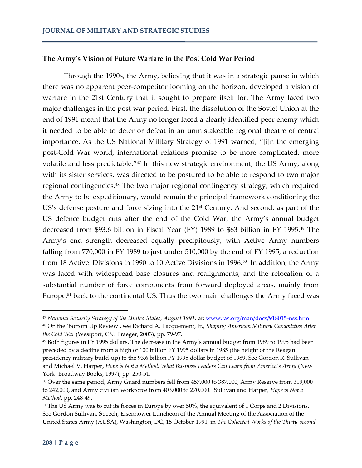### **The Army's Vision of Future Warfare in the Post Cold War Period**

Through the 1990s, the Army, believing that it was in a strategic pause in which there was no apparent peer-competitor looming on the horizon, developed a vision of warfare in the 21st Century that it sought to prepare itself for. The Army faced two major challenges in the post war period. First, the dissolution of the Soviet Union at the end of 1991 meant that the Army no longer faced a clearly identified peer enemy which it needed to be able to deter or defeat in an unmistakeable regional theatre of central importance. As the US National Military Strategy of 1991 warned, "[i]n the emerging post-Cold War world, international relations promise to be more complicated, more volatile and less predictable."<sup>47</sup> In this new strategic environment, the US Army, along with its sister services, was directed to be postured to be able to respond to two major regional contingencies.<sup>48</sup> The two major regional contingency strategy, which required the Army to be expeditionary, would remain the principal framework conditioning the US's defense posture and force sizing into the 21st Century. And second, as part of the US defence budget cuts after the end of the Cold War, the Army's annual budget decreased from \$93.6 billion in Fiscal Year (FY) 1989 to \$63 billion in FY 1995.<sup>49</sup> The Army's end strength decreased equally precipitously, with Active Army numbers falling from 770,000 in FY 1989 to just under 510,000 by the end of FY 1995, a reduction from 18 Active Divisions in 1990 to 10 Active Divisions in 1996.<sup>50</sup> In addition, the Army was faced with widespread base closures and realignments, and the relocation of a substantial number of force components from forward deployed areas, mainly from Europe,<sup>51</sup> back to the continental US. Thus the two main challenges the Army faced was

<sup>47</sup> *National Security Strategy of the United States, August 1991,* at: [www.fas.org/man/docs/918015-nss.htm](http://www.fas.org/man/docs/918015-nss.htm)*.*

<sup>48</sup> On the 'Bottom Up Review', see Richard A. Lacquement, Jr., *Shaping American Military Capabilities After the Cold War* (Westport, CN: Praeger, 2003), pp. 79-97.

<sup>49</sup> Both figures in FY 1995 dollars. The decrease in the Army's annual budget from 1989 to 1995 had been preceded by a decline from a high of 100 billion FY 1995 dollars in 1985 (the height of the Reagan presidency military build-up) to the 93.6 billion FY 1995 dollar budget of 1989. See Gordon R. Sullivan and Michael V. Harper, *Hope is Not a Method: What Business Leaders Can Learn from America's Army* (New York: Broadway Books, 1997), pp. 250-51.

<sup>50</sup> Over the same period, Army Guard numbers fell from 457,000 to 387,000, Army Reserve from 319,000 to 242,000, and Army civilian workforce from 403,000 to 270,000. Sullivan and Harper, *Hope is Not a Method*, pp. 248-49.

<sup>&</sup>lt;sup>51</sup> The US Army was to cut its forces in Europe by over 50%, the equivalent of 1 Corps and 2 Divisions. See Gordon Sullivan, Speech, Eisenhower Luncheon of the Annual Meeting of the Association of the United States Army (AUSA), Washington, DC, 15 October 1991, in *The Collected Works of the Thirty-second*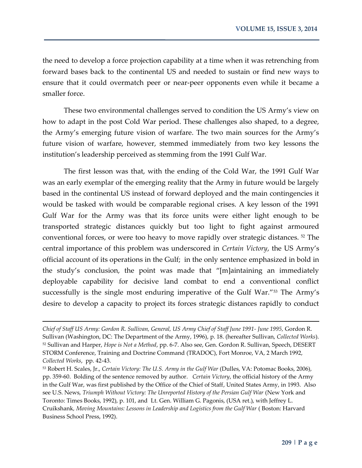the need to develop a force projection capability at a time when it was retrenching from forward bases back to the continental US and needed to sustain or find new ways to ensure that it could overmatch peer or near-peer opponents even while it became a smaller force.

These two environmental challenges served to condition the US Army's view on how to adapt in the post Cold War period. These challenges also shaped, to a degree, the Army's emerging future vision of warfare. The two main sources for the Army's future vision of warfare, however, stemmed immediately from two key lessons the institution's leadership perceived as stemming from the 1991 Gulf War.

The first lesson was that, with the ending of the Cold War, the 1991 Gulf War was an early exemplar of the emerging reality that the Army in future would be largely based in the continental US instead of forward deployed and the main contingencies it would be tasked with would be comparable regional crises. A key lesson of the 1991 Gulf War for the Army was that its force units were either light enough to be transported strategic distances quickly but too light to fight against armoured conventional forces, or were too heavy to move rapidly over strategic distances. <sup>52</sup> The central importance of this problem was underscored in *Certain Victory*, the US Army's official account of its operations in the Gulf; in the only sentence emphasized in bold in the study's conclusion, the point was made that "[m]aintaining an immediately deployable capability for decisive land combat to end a conventional conflict successfully is the single most enduring imperative of the Gulf War."<sup>53</sup> The Army's desire to develop a capacity to project its forces strategic distances rapidly to conduct

*Chief of Staff US Army: Gordon R. Sullivan, General, US Army Chief of Staff June 1991- June 1995,* Gordon R. Sullivan (Washington, DC: The Department of the Army, 1996), p. 18. (hereafter Sullivan, *Collected Works*). <sup>52</sup> Sullivan and Harper, *Hope is Not a Method*, pp. 6-7. Also see, Gen. Gordon R. Sullivan, Speech, DESERT STORM Conference, Training and Doctrine Command (TRADOC), Fort Monroe, VA, 2 March 1992, *Collected Works*, pp. 42-43.

<sup>53</sup> Robert H. Scales, Jr., *Certain Victory: The U.S. Army in the Gulf War* (Dulles, VA: Potomac Books, 2006), pp. 359-60. Bolding of the sentence removed by author. *Certain Victory*, the official history of the Army in the Gulf War, was first published by the Office of the Chief of Staff, United States Army, in 1993. Also see U.S. News, *Triumph Without Victory: The Unreported History of the Persian Gulf War* (New York and Toronto: Times Books, 1992), p. 101, and Lt. Gen. William G. Pagonis, (USA ret.), with Jeffrey L. Cruikshank*, Moving Mountains: Lessons in Leadership and Logistics from the Gulf War* ( Boston: Harvard Business School Press, 1992).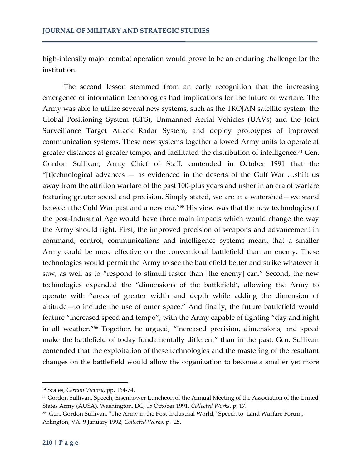high-intensity major combat operation would prove to be an enduring challenge for the institution.

The second lesson stemmed from an early recognition that the increasing emergence of information technologies had implications for the future of warfare. The Army was able to utilize several new systems, such as the TROJAN satellite system, the Global Positioning System (GPS), Unmanned Aerial Vehicles (UAVs) and the Joint Surveillance Target Attack Radar System, and deploy prototypes of improved communication systems. These new systems together allowed Army units to operate at greater distances at greater tempo, and facilitated the distribution of intelligence.<sup>54</sup> Gen. Gordon Sullivan, Army Chief of Staff, contended in October 1991 that the "[t]echnological advances  $-$  as evidenced in the deserts of the Gulf War ...shift us away from the attrition warfare of the past 100-plus years and usher in an era of warfare featuring greater speed and precision. Simply stated, we are at a watershed—we stand between the Cold War past and a new era."<sup>55</sup> His view was that the new technologies of the post-Industrial Age would have three main impacts which would change the way the Army should fight. First, the improved precision of weapons and advancement in command, control, communications and intelligence systems meant that a smaller Army could be more effective on the conventional battlefield than an enemy. These technologies would permit the Army to see the battlefield better and strike whatever it saw, as well as to "respond to stimuli faster than [the enemy] can." Second, the new technologies expanded the "dimensions of the battlefield', allowing the Army to operate with "areas of greater width and depth while adding the dimension of altitude—to include the use of outer space." And finally, the future battlefield would feature "increased speed and tempo", with the Army capable of fighting "day and night in all weather."<sup>56</sup> Together, he argued, "increased precision, dimensions, and speed make the battlefield of today fundamentally different" than in the past. Gen. Sullivan contended that the exploitation of these technologies and the mastering of the resultant changes on the battlefield would allow the organization to become a smaller yet more

<sup>54</sup> Scales, *Certain Victory*, pp. 164-74.

<sup>55</sup> Gordon Sullivan, Speech, Eisenhower Luncheon of the Annual Meeting of the Association of the United States Army (AUSA), Washington, DC, 15 October 1991, *Collected Works*, p. 17.

<sup>56</sup> Gen. Gordon Sullivan, "The Army in the Post-Industrial World," Speech to Land Warfare Forum, Arlington, VA. 9 January 1992, *Collected Works*, p. 25.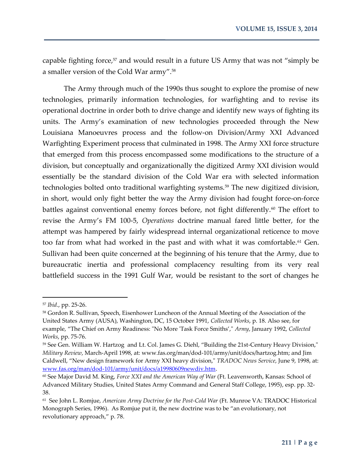capable fighting force,<sup>57</sup> and would result in a future US Army that was not "simply be a smaller version of the Cold War army".<sup>58</sup>

The Army through much of the 1990s thus sought to explore the promise of new technologies, primarily information technologies, for warfighting and to revise its operational doctrine in order both to drive change and identify new ways of fighting its units. The Army's examination of new technologies proceeded through the New Louisiana Manoeuvres process and the follow-on Division/Army XXI Advanced Warfighting Experiment process that culminated in 1998. The Army XXI force structure that emerged from this process encompassed some modifications to the structure of a division, but conceptually and organizationally the digitized Army XXI division would essentially be the standard division of the Cold War era with selected information technologies bolted onto traditional warfighting systems.<sup>59</sup> The new digitized division, in short, would only fight better the way the Army division had fought force-on-force battles against conventional enemy forces before, not fight differently.<sup>60</sup> The effort to revise the Army's FM 100-5, *Operations* doctrine manual fared little better, for the attempt was hampered by fairly widespread internal organizational reticence to move too far from what had worked in the past and with what it was comfortable.<sup>61</sup> Gen. Sullivan had been quite concerned at the beginning of his tenure that the Army, due to bureaucratic inertia and professional complacency resulting from its very real battlefield success in the 1991 Gulf War, would be resistant to the sort of changes he

<sup>57</sup> *Ibid*., pp. 25-26.

<sup>58</sup> Gordon R. Sullivan, Speech, Eisenhower Luncheon of the Annual Meeting of the Association of the United States Army (AUSA), Washington, DC, 15 October 1991, *Collected Works*, p. 18. Also see, for example, "The Chief on Army Readiness: "No More 'Task Force Smiths'," *Army*, January 1992, *Collected Works*, pp. 75-76.

<sup>59</sup> See Gen. William W. Hartzog and Lt. Col. James G. Diehl, "Building the 21st-Century Heavy Division," *Military Review*, March-April 1998, at: www.fas.org/man/dod-101/army/unit/docs/hartzog.htm; and Jim Caldwell, "New design framework for Army XXI heavy division," *TRADOC News Service*, June 9, 1998, at: [www.fas.org/man/dod-101/army/unit/docs/a19980609newdiv.htm.](http://www.fas.org/man/dod-101/army/unit/docs/a19980609newdiv.htm)

<sup>60</sup> See Major David M. King, *Force XXI and the American Way of War* (Ft. Leavenworth, Kansas: School of Advanced Military Studies, United States Army Command and General Staff College, 1995), esp. pp. 32- 38.

<sup>61</sup> See John L. Romjue, *American Army Doctrine for the Post-Cold War* (Ft. Munroe VA: TRADOC Historical Monograph Series, 1996). As Romjue put it, the new doctrine was to be "an evolutionary, not revolutionary approach," p. 78.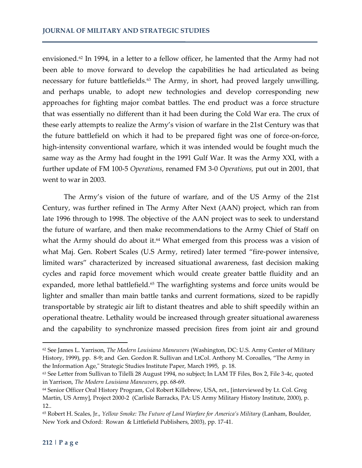envisioned.<sup>62</sup> In 1994, in a letter to a fellow officer, he lamented that the Army had not been able to move forward to develop the capabilities he had articulated as being necessary for future battlefields.<sup>63</sup> The Army, in short, had proved largely unwilling, and perhaps unable, to adopt new technologies and develop corresponding new approaches for fighting major combat battles. The end product was a force structure that was essentially no different than it had been during the Cold War era. The crux of these early attempts to realize the Army's vision of warfare in the 21st Century was that the future battlefield on which it had to be prepared fight was one of force-on-force, high-intensity conventional warfare, which it was intended would be fought much the same way as the Army had fought in the 1991 Gulf War. It was the Army XXI, with a further update of FM 100-5 *Operations*, renamed FM 3-0 *Operations,* put out in 2001, that went to war in 2003.

The Army's vision of the future of warfare, and of the US Army of the 21st Century, was further refined in The Army After Next (AAN) project, which ran from late 1996 through to 1998. The objective of the AAN project was to seek to understand the future of warfare, and then make recommendations to the Army Chief of Staff on what the Army should do about it.<sup>64</sup> What emerged from this process was a vision of what Maj. Gen. Robert Scales (U.S Army, retired) later termed "fire-power intensive, limited wars" characterized by increased situational awareness, fast decision making cycles and rapid force movement which would create greater battle fluidity and an expanded, more lethal battlefield.<sup>65</sup> The warfighting systems and force units would be lighter and smaller than main battle tanks and current formations, sized to be rapidly transportable by strategic air lift to distant theatres and able to shift speedily within an operational theatre. Lethality would be increased through greater situational awareness and the capability to synchronize massed precision fires from joint air and ground

<sup>62</sup> See James L. Yarrison, *The Modern Louisiana Maneuvers* (Washington, DC: U.S. Army Center of Military History, 1999), pp. 8-9; and Gen. Gordon R. Sullivan and LtCol. Anthony M. Coroalles, "The Army in the Information Age," Strategic Studies Institute Paper, March 1995, p. 18.

<sup>63</sup> See Letter from Sullivan to Tilelli 28 August 1994, no subject; In LAM TF Files, Box 2, File 3-4c, quoted in Yarrison, *The Modern Louisiana Maneuvers*, pp. 68-69.

<sup>64</sup> Senior Officer Oral History Program, Col Robert Killebrew, USA, ret., [interviewed by Lt. Col. Greg Martin, US Army], Project 2000-2 (Carlisle Barracks, PA: US Army Military History Institute, 2000), p. 12..

<sup>65</sup> Robert H. Scales, Jr., *Yellow Smoke: The Future of Land Warfare for America's Military* (Lanham, Boulder, New York and Oxford: Rowan & Littlefield Publishers, 2003), pp. 17-41.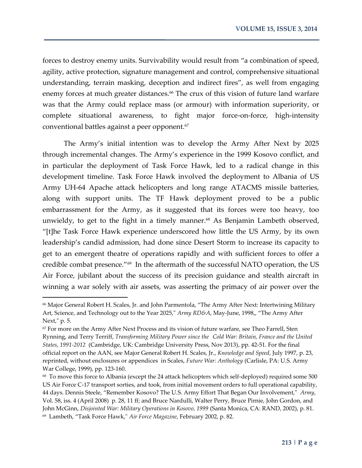forces to destroy enemy units. Survivability would result from "a combination of speed, agility, active protection, signature management and control, comprehensive situational understanding, terrain masking, deception and indirect fires", as well from engaging enemy forces at much greater distances.<sup>66</sup> The crux of this vision of future land warfare was that the Army could replace mass (or armour) with information superiority, or complete situational awareness, to fight major force-on-force, high-intensity conventional battles against a peer opponent.<sup>67</sup>

The Army's initial intention was to develop the Army After Next by 2025 through incremental changes. The Army's experience in the 1999 Kosovo conflict, and in particular the deployment of Task Force Hawk, led to a radical change in this development timeline. Task Force Hawk involved the deployment to Albania of US Army UH-64 Apache attack helicopters and long range ATACMS missile batteries, along with support units. The TF Hawk deployment proved to be a public embarrassment for the Army, as it suggested that its forces were too heavy, too unwieldy, to get to the fight in a timely manner.<sup>68</sup> As Benjamin Lambeth observed, "[t]he Task Force Hawk experience underscored how little the US Army, by its own leadership's candid admission, had done since Desert Storm to increase its capacity to get to an emergent theatre of operations rapidly and with sufficient forces to offer a credible combat presence."<sup>69</sup> In the aftermath of the successful NATO operation, the US Air Force, jubilant about the success of its precision guidance and stealth aircraft in winning a war solely with air assets, was asserting the primacy of air power over the

<sup>66</sup> Major General Robert H. Scales, Jr. and John Parmentola, "The Army After Next: Intertwining Military Art, Science, and Technology out to the Year 2025," *Army RD&A*, May-June, 1998,, "The Army After Next," p. 5.

<sup>&</sup>lt;sup>67</sup> For more on the Army After Next Process and its vision of future warfare, see Theo Farrell, Sten Rynning, and Terry Terriff, *Transforming Military Power since the Cold War: Britain, France and the United States*, *1991-2012* (Cambridge, UK: Cambridge University Press, Nov 2013), pp. 42-51. For the final official report on the AAN, see Major General Robert H. Scales, Jr., *Knowledge and Speed*, July 1997, p. 23, reprinted, without enclosures or appendices in Scales, *Future War: Anthology* (Carlisle, PA: U.S. Army War College, 1999), pp. 123-160.

<sup>68</sup> To move this force to Albania (except the 24 attack helicopters which self-deployed) required some 500 US Air Force C-17 transport sorties, and took, from initial movement orders to full operational capability, 44 days. Dennis Steele, "Remember Kosovo? The U.S. Army Effort That Began Our Involvement," *Army*, Vol. 58, iss. 4 (April 2008) p. 28, 11 ff; and Bruce Nardulli, Walter Perry, Bruce Pirnie, John Gordon, and John McGinn, *Disjointed War: Military Operations in Kosovo, 1999* (Santa Monica, CA: RAND, 2002), p. 81. 69 Lambeth, "Task Force Hawk," *Air Force Magazine*, February 2002, p. 82.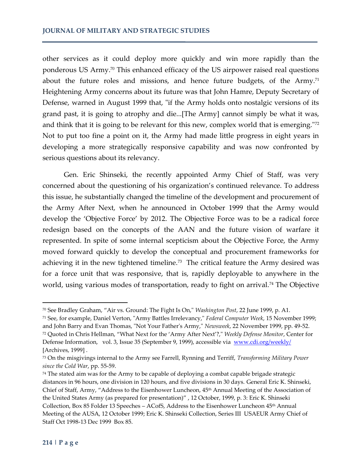other services as it could deploy more quickly and win more rapidly than the ponderous US Army.<sup>70</sup> This enhanced efficacy of the US airpower raised real questions about the future roles and missions, and hence future budgets, of the Army.<sup>71</sup> Heightening Army concerns about its future was that John Hamre, Deputy Secretary of Defense, warned in August 1999 that, "if the Army holds onto nostalgic versions of its grand past, it is going to atrophy and die...[The Army] cannot simply be what it was, and think that it is going to be relevant for this new, complex world that is emerging."<sup>72</sup> Not to put too fine a point on it, the Army had made little progress in eight years in developing a more strategically responsive capability and was now confronted by serious questions about its relevancy.

Gen. Eric Shinseki, the recently appointed Army Chief of Staff, was very concerned about the questioning of his organization's continued relevance. To address this issue, he substantially changed the timeline of the development and procurement of the Army After Next, when he announced in October 1999 that the Army would develop the 'Objective Force' by 2012. The Objective Force was to be a radical force redesign based on the concepts of the AAN and the future vision of warfare it represented. In spite of some internal scepticism about the Objective Force, the Army moved forward quickly to develop the conceptual and procurement frameworks for achieving it in the new tightened timeline.<sup>73</sup> The critical feature the Army desired was for a force unit that was responsive, that is, rapidly deployable to anywhere in the world, using various modes of transportation, ready to fight on arrival.<sup>74</sup> The Objective

<sup>70</sup> See Bradley Graham, "Air vs. Ground: The Fight Is On," *Washington Post*, 22 June 1999, p. A1.

<sup>71</sup> See, for example, Daniel Verton, "Army Battles Irrelevancy," *Federal Computer Week*, 15 November 1999; and John Barry and Evan Thomas, "Not Your Father's Army," *Newsweek*, 22 November 1999, pp. 49-52. <sup>72</sup> Quoted in Chris Hellman, "What Next for the 'Army After Next'?," *Weekly Defense Monitor*, Center for Defense Information, vol. 3, Issue 35 (September 9, 1999), accessible via [www.cdi.org/weekly/](http://www.cdi.org/weekly/)  [Archives, 1999] .

<sup>73</sup> On the misgivings internal to the Army see Farrell, Rynning and Terriff, *Transforming Military Power since the Cold War*, pp. 55-59.

<sup>&</sup>lt;sup>74</sup> The stated aim was for the Army to be capable of deploying a combat capable brigade strategic distances in 96 hours, one division in 120 hours, and five divisions in 30 days. General Eric K. Shinseki, Chief of Staff, Army, "Address to the Eisenhower Luncheon, 45th Annual Meeting of the Association of the United States Army (as prepared for presentation)" , 12 October, 1999, p. 3: Eric K. Shinseki Collection, Box 85 Folder 13 Speeches - ACofS, Address to the Eisenhower Luncheon 45<sup>th</sup> Annual Meeting of the AUSA, 12 October 1999; Eric K. Shinseki Collection, Series III USAEUR Army Chief of Staff Oct 1998-13 Dec 1999 Box 85.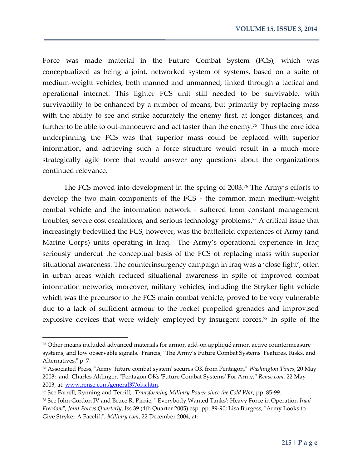Force was made material in the Future Combat System (FCS), which was conceptualized as being a joint, networked system of systems, based on a suite of medium-weight vehicles, both manned and unmanned, linked through a tactical and operational internet. This lighter FCS unit still needed to be survivable, with survivability to be enhanced by a number of means, but primarily by replacing mass with the ability to see and strike accurately the enemy first, at longer distances, and further to be able to out-manoeuvre and act faster than the enemy.<sup>75</sup> Thus the core idea underpinning the FCS was that superior mass could be replaced with superior information, and achieving such a force structure would result in a much more strategically agile force that would answer any questions about the organizations continued relevance.

The FCS moved into development in the spring of 2003.<sup>76</sup> The Army's efforts to develop the two main components of the FCS - the common main medium-weight combat vehicle and the information network - suffered from constant management troubles, severe cost escalations, and serious technology problems.<sup>77</sup> A critical issue that increasingly bedevilled the FCS, however, was the battlefield experiences of Army (and Marine Corps) units operating in Iraq. The Army's operational experience in Iraq seriously undercut the conceptual basis of the FCS of replacing mass with superior situational awareness. The counterinsurgency campaign in Iraq was a 'close fight', often in urban areas which reduced situational awareness in spite of improved combat information networks; moreover, military vehicles, including the Stryker light vehicle which was the precursor to the FCS main combat vehicle, proved to be very vulnerable due to a lack of sufficient armour to the rocket propelled grenades and improvised explosive devices that were widely employed by insurgent forces.<sup>78</sup> In spite of the

<sup>75</sup> Other means included advanced materials for armor, add-on appliqué armor, active countermeasure systems, and low observable signals. Francis, "The Army's Future Combat Systems' Features, Risks, and Alternatives," p. 7.

<sup>76</sup> Associated Press, "Army 'future combat system' secures OK from Pentagon," *Washington Times*, 20 May 2003; and Charles Aldinger, "Pentagon OKs 'Future Combat Systems' For Army," *Rense.com*, 22 May 2003, at: [www.rense.com/general37/oks.htm.](http://www.rense.com/general37/oks.htm)

<sup>77</sup> See Farrell, Rynning and Terriff, *Transforming Military Power since the Cold War*, pp. 85-99.

<sup>78</sup> See John Gordon IV and Bruce R. Pirnie, "'Everybody Wanted Tanks': Heavy Force in Operation *Iraqi Freedom*", *Joint Forces Quarterly*, Iss.39 (4th Quarter 2005) esp. pp. 89-90; Lisa Burgess, "Army Looks to Give Stryker A Facelift", *Military.com*, 22 December 2004, at: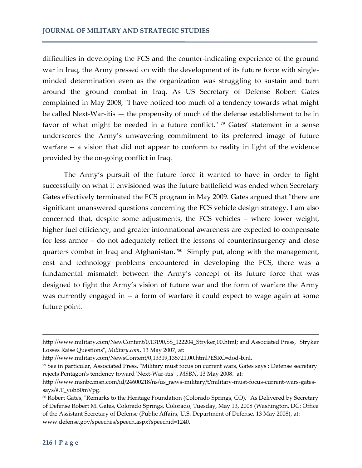difficulties in developing the FCS and the counter-indicating experience of the ground war in Iraq, the Army pressed on with the development of its future force with singleminded determination even as the organization was struggling to sustain and turn around the ground combat in Iraq. As US Secretary of Defense Robert Gates complained in May 2008, "I have noticed too much of a tendency towards what might be called Next-War-itis — the propensity of much of the defense establishment to be in favor of what might be needed in a future conflict." <sup>79</sup> Gates' statement in a sense underscores the Army's unwavering commitment to its preferred image of future warfare -- a vision that did not appear to conform to reality in light of the evidence provided by the on-going conflict in Iraq.

The Army's pursuit of the future force it wanted to have in order to fight successfully on what it envisioned was the future battlefield was ended when Secretary Gates effectively terminated the FCS program in May 2009. Gates argued that "there are significant unanswered questions concerning the FCS vehicle design strategy. I am also concerned that, despite some adjustments, the FCS vehicles – where lower weight, higher fuel efficiency, and greater informational awareness are expected to compensate for less armor – do not adequately reflect the lessons of counterinsurgency and close quarters combat in Iraq and Afghanistan."<sup>80</sup> Simply put, along with the management, cost and technology problems encountered in developing the FCS, there was a fundamental mismatch between the Army's concept of its future force that was designed to fight the Army's vision of future war and the form of warfare the Army was currently engaged in -- a form of warfare it could expect to wage again at some future point.

http://www.military.com/NewContent/0,13190,SS\_122204\_Stryker,00.html; and Associated Press, "Stryker Losses Raise Questions", *Military.com*, 13 May 2007, at:

http://www.military.com/NewsContent/0,13319,135721,00.html?ESRC=dod-b.nl.

<sup>79</sup> See in particular, Associated Press, "Military must focus on current wars, Gates says : Defense secretary rejects Pentagon's tendency toward 'Next-War-itis'", *MSBN*, 13 May 2008. at:

http://www.msnbc.msn.com/id/24600218/ns/us\_news-military/t/military-must-focus-current-wars-gatessays/#.T\_yobB0mVpg.

<sup>80</sup> Robert Gates, "Remarks to the Heritage Foundation (Colorado Springs, CO)," As Delivered by Secretary of Defense Robert M. Gates, Colorado Springs, Colorado, Tuesday, May 13, 2008 (Washington, DC: Office of the Assistant Secretary of Defense (Public Affairs, U.S. Department of Defense, 13 May 2008), at: www.defense.gov/speeches/speech.aspx?speechid=1240.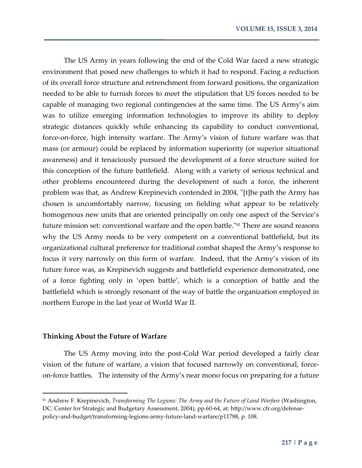The US Army in years following the end of the Cold War faced a new strategic environment that posed new challenges to which it had to respond. Facing a reduction of its overall force structure and retrenchment from forward positions, the organization needed to be able to furnish forces to meet the stipulation that US forces needed to be capable of managing two regional contingencies at the same time. The US Army's aim was to utilize emerging information technologies to improve its ability to deploy strategic distances quickly while enhancing its capability to conduct conventional, force-on-force, high intensity warfare. The Army's vision of future warfare was that mass (or armour) could be replaced by information superiority (or superior situational awareness) and it tenaciously pursued the development of a force structure suited for this conception of the future battlefield. Along with a variety of serious technical and other problems encountered during the development of such a force, the inherent problem was that, as Andrew Krepinevich contended in 2004, "[t]he path the Army has chosen is uncomfortably narrow, focusing on fielding what appear to be relatively homogenous new units that are oriented principally on only one aspect of the Service's future mission set: conventional warfare and the open battle."<sup>81</sup> There are sound reasons why the US Army needs to be very competent on a conventional battlefield, but its organizational cultural preference for traditional combat shaped the Army's response to focus it very narrowly on this form of warfare. Indeed, that the Army's vision of its future force was, as Krepinevich suggests and battlefield experience demonstrated, one of a force fighting only in 'open battle', which is a conception of battle and the battlefield which is strongly resonant of the way of battle the organization employed in northern Europe in the last year of World War II.

#### **Thinking About the Future of Warfare**

 $\overline{\phantom{a}}$ 

The US Army moving into the post-Cold War period developed a fairly clear vision of the future of warfare, a vision that focused narrowly on conventional, forceon-force battles. The intensity of the Army's near mono focus on preparing for a future

<sup>81</sup> Andrew F. Krepinevich, *Transforming The Legions: The Army and the Future of Land Warfare* (Washington, DC: Center for Strategic and Budgetary Assessment, 2004), pp.60-64, at: http://www.cfr.org/defensepolicy-and-budget/transforming-legions-army-future-land-warfare/p11788, p. 108.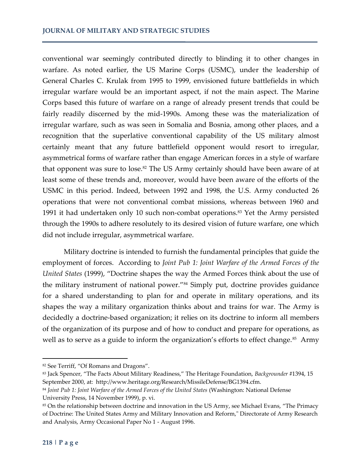conventional war seemingly contributed directly to blinding it to other changes in warfare. As noted earlier, the US Marine Corps (USMC), under the leadership of General Charles C. Krulak from 1995 to 1999, envisioned future battlefields in which irregular warfare would be an important aspect, if not the main aspect. The Marine Corps based this future of warfare on a range of already present trends that could be fairly readily discerned by the mid-1990s. Among these was the materialization of irregular warfare, such as was seen in Somalia and Bosnia, among other places, and a recognition that the superlative conventional capability of the US military almost certainly meant that any future battlefield opponent would resort to irregular, asymmetrical forms of warfare rather than engage American forces in a style of warfare that opponent was sure to lose.<sup>82</sup> The US Army certainly should have been aware of at least some of these trends and, moreover, would have been aware of the efforts of the USMC in this period. Indeed, between 1992 and 1998, the U.S. Army conducted 26 operations that were not conventional combat missions, whereas between 1960 and 1991 it had undertaken only 10 such non-combat operations.<sup>83</sup> Yet the Army persisted through the 1990s to adhere resolutely to its desired vision of future warfare, one which did not include irregular, asymmetrical warfare.

Military doctrine is intended to furnish the fundamental principles that guide the employment of forces. According to *Joint Pub 1: Joint Warfare of the Armed Forces of the United States* (1999), "Doctrine shapes the way the Armed Forces think about the use of the military instrument of national power."<sup>84</sup> Simply put, doctrine provides guidance for a shared understanding to plan for and operate in military operations, and its shapes the way a military organization thinks about and trains for war. The Army is decidedly a doctrine-based organization; it relies on its doctrine to inform all members of the organization of its purpose and of how to conduct and prepare for operations, as well as to serve as a guide to inform the organization's efforts to effect change.<sup>85</sup> Army

<sup>82</sup> See Terriff, "Of Romans and Dragons".

<sup>83</sup> Jack Spencer, "The Facts About Military Readiness," The Heritage Foundation, *Backgrounder* #1394, 15 September 2000, at: http://www.heritage.org/Research/MissileDefense/BG1394.cfm.

<sup>84</sup> *Joint Pub 1: Joint Warfare of the Armed Forces of the United States (Washington: National Defense* University Press, 14 November 1999), p. vi.

<sup>85</sup> On the relationship between doctrine and innovation in the US Army, see Michael Evans, "The Primacy of Doctrine: The United States Army and Military Innovation and Reform," Directorate of Army Research and Analysis, Army Occasional Paper No 1 - August 1996.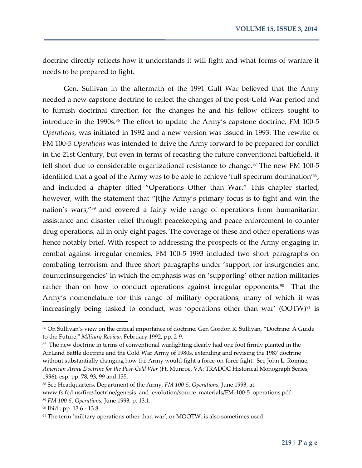doctrine directly reflects how it understands it will fight and what forms of warfare it needs to be prepared to fight.

Gen. Sullivan in the aftermath of the 1991 Gulf War believed that the Army needed a new capstone doctrine to reflect the changes of the post-Cold War period and to furnish doctrinal direction for the changes he and his fellow officers sought to introduce in the 1990s.<sup>86</sup> The effort to update the Army's capstone doctrine, FM 100-5 *Operations*, was initiated in 1992 and a new version was issued in 1993. The rewrite of FM 100-5 *Operations* was intended to drive the Army forward to be prepared for conflict in the 21st Century, but even in terms of recasting the future conventional battlefield, it fell short due to considerable organizational resistance to change. $87$  The new FM 100-5 identified that a goal of the Army was to be able to achieve 'full spectrum domination'<sup>88</sup>, and included a chapter titled "Operations Other than War." This chapter started, however, with the statement that "[t]he Army's primary focus is to fight and win the nation's wars," <sup>89</sup> and covered a fairly wide range of operations from humanitarian assistance and disaster relief through peacekeeping and peace enforcement to counter drug operations, all in only eight pages. The coverage of these and other operations was hence notably brief. With respect to addressing the prospects of the Army engaging in combat against irregular enemies, FM 100-5 1993 included two short paragraphs on combating terrorism and three short paragraphs under 'support for insurgencies and counterinsurgencies' in which the emphasis was on 'supporting' other nation militaries rather than on how to conduct operations against irregular opponents.<sup>90</sup> That the Army's nomenclature for this range of military operations, many of which it was increasingly being tasked to conduct, was 'operations other than war' (OOTW)<sup>91</sup> is

<sup>86</sup> On Sullivan's view on the critical importance of doctrine, Gen Gordon R. Sullivan, "Doctrine: A Guide to the Future," *Military Review*, February 1992, pp. 2-9.

 $87$  The new doctrine in terms of conventional warfighting clearly had one foot firmly planted in the AirLand Battle doctrine and the Cold War Army of 1980s, extending and revising the 1987 doctrine without substantially changing how the Army would fight a force-on-force fight. See John L. Romjue, *American Army Doctrine for the Post-Cold War* (Ft. Munroe, VA: TRADOC Historical Monograph Series, 1996), esp. pp. 78, 93, 99 and 135.

<sup>88</sup> See Headquarters, Department of the Army, *FM 100-5, Operations*, June 1993, at: www.fs.fed.us/fire/doctrine/genesis\_and\_evolution/source\_materials/FM-100-5\_operations.pdf . <sup>89</sup> *FM 100-5, Operations*, June 1993, p. 13.1.

<sup>90</sup> Ibid., pp. 13.6 - 13.8.

<sup>&</sup>lt;sup>91</sup> The term 'military operations other than war', or MOOTW, is also sometimes used.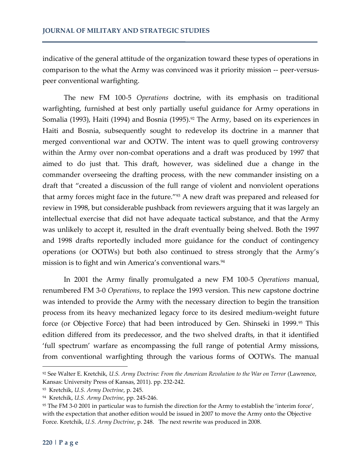indicative of the general attitude of the organization toward these types of operations in comparison to the what the Army was convinced was it priority mission -- peer-versuspeer conventional warfighting.

The new FM 100-5 *Operations* doctrine, with its emphasis on traditional warfighting, furnished at best only partially useful guidance for Army operations in Somalia (1993), Haiti (1994) and Bosnia (1995).<sup>92</sup> The Army, based on its experiences in Haiti and Bosnia, subsequently sought to redevelop its doctrine in a manner that merged conventional war and OOTW. The intent was to quell growing controversy within the Army over non-combat operations and a draft was produced by 1997 that aimed to do just that. This draft, however, was sidelined due a change in the commander overseeing the drafting process, with the new commander insisting on a draft that "created a discussion of the full range of violent and nonviolent operations that army forces might face in the future."<sup>93</sup> A new draft was prepared and released for review in 1998, but considerable pushback from reviewers arguing that it was largely an intellectual exercise that did not have adequate tactical substance, and that the Army was unlikely to accept it, resulted in the draft eventually being shelved. Both the 1997 and 1998 drafts reportedly included more guidance for the conduct of contingency operations (or OOTWs) but both also continued to stress strongly that the Army's mission is to fight and win America's conventional wars.<sup>94</sup>

In 2001 the Army finally promulgated a new FM 100-5 *Operations* manual, renumbered FM 3-0 *Operations*, to replace the 1993 version. This new capstone doctrine was intended to provide the Army with the necessary direction to begin the transition process from its heavy mechanized legacy force to its desired medium-weight future force (or Objective Force) that had been introduced by Gen. Shinseki in 1999.<sup>95</sup> This edition differed from its predecessor, and the two shelved drafts, in that it identified 'full spectrum' warfare as encompassing the full range of potential Army missions, from conventional warfighting through the various forms of OOTWs. The manual

<sup>92</sup> See Walter E. Kretchik, *U.S. Army Doctrine: From the American Revolution to the War on Terror* (Lawrence, Kansas: University Press of Kansas, 2011). pp. 232-242.

<sup>93</sup> Kretchik, *U.S. Army Doctrine*, p. 245.

<sup>94</sup> Kretchik, *U.S. Army Doctrine*, pp. 245-246.

<sup>95</sup> The FM 3-0 2001 in particular was to furnish the direction for the Army to establish the 'interim force', with the expectation that another edition would be issued in 2007 to move the Army onto the Objective Force. Kretchik, *U.S. Army Doctrine*, p. 248. The next rewrite was produced in 2008.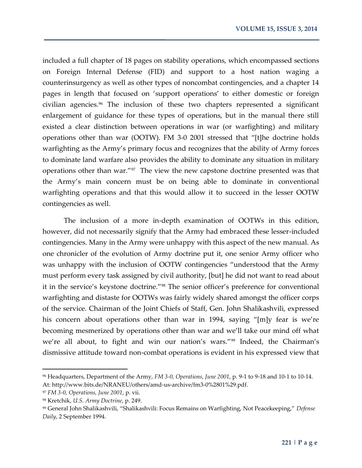included a full chapter of 18 pages on stability operations, which encompassed sections on Foreign Internal Defense (FID) and support to a host nation waging a counterinsurgency as well as other types of noncombat contingencies, and a chapter 14 pages in length that focused on 'support operations' to either domestic or foreign civilian agencies.<sup>96</sup> The inclusion of these two chapters represented a significant enlargement of guidance for these types of operations, but in the manual there still existed a clear distinction between operations in war (or warfighting) and military operations other than war (OOTW). FM 3-0 2001 stressed that "[t]he doctrine holds warfighting as the Army's primary focus and recognizes that the ability of Army forces to dominate land warfare also provides the ability to dominate any situation in military operations other than war."<sup>97</sup> The view the new capstone doctrine presented was that the Army's main concern must be on being able to dominate in conventional warfighting operations and that this would allow it to succeed in the lesser OOTW contingencies as well.

The inclusion of a more in-depth examination of OOTWs in this edition, however, did not necessarily signify that the Army had embraced these lesser-included contingencies. Many in the Army were unhappy with this aspect of the new manual. As one chronicler of the evolution of Army doctrine put it, one senior Army officer who was unhappy with the inclusion of OOTW contingencies "understood that the Army must perform every task assigned by civil authority, [but] he did not want to read about it in the service's keystone doctrine."<sup>98</sup> The senior officer's preference for conventional warfighting and distaste for OOTWs was fairly widely shared amongst the officer corps of the service. Chairman of the Joint Chiefs of Staff, Gen. John Shalikashvili, expressed his concern about operations other than war in 1994, saying "[m]y fear is we're becoming mesmerized by operations other than war and we'll take our mind off what we're all about, to fight and win our nation's wars."<sup>99</sup> Indeed, the Chairman's dismissive attitude toward non-combat operations is evident in his expressed view that

<sup>96</sup> Headquarters, Department of the Army, *FM 3-0, Operations, June 2001*, p. 9-1 to 9-18 and 10-1 to 10-14. At: http://www.bits.de/NRANEU/others/amd-us-archive/fm3-0%2801%29.pdf.

<sup>97</sup> *FM 3-0, Operations, June 2001*, p. vii.

<sup>98</sup> Kretchik, *U.S. Army Doctrine*, p. 249.

<sup>99</sup> General John Shalikashvili, "Shalikashvili: Focus Remains on Warfighting, Not Peacekeeping," *Defense Daily*, 2 September 1994.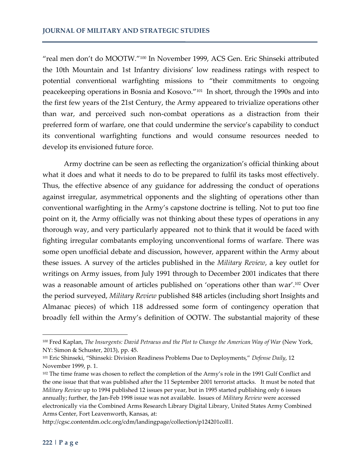"real men don't do MOOTW."<sup>100</sup> In November 1999, ACS Gen. Eric Shinseki attributed the 10th Mountain and 1st Infantry divisions' low readiness ratings with respect to potential conventional warfighting missions to "their commitments to ongoing peacekeeping operations in Bosnia and Kosovo."<sup>101</sup> In short, through the 1990s and into the first few years of the 21st Century, the Army appeared to trivialize operations other than war, and perceived such non-combat operations as a distraction from their preferred form of warfare, one that could undermine the service's capability to conduct its conventional warfighting functions and would consume resources needed to develop its envisioned future force.

Army doctrine can be seen as reflecting the organization's official thinking about what it does and what it needs to do to be prepared to fulfil its tasks most effectively. Thus, the effective absence of any guidance for addressing the conduct of operations against irregular, asymmetrical opponents and the slighting of operations other than conventional warfighting in the Army's capstone doctrine is telling. Not to put too fine point on it, the Army officially was not thinking about these types of operations in any thorough way, and very particularly appeared not to think that it would be faced with fighting irregular combatants employing unconventional forms of warfare. There was some open unofficial debate and discussion, however, apparent within the Army about these issues. A survey of the articles published in the *Military Review*, a key outlet for writings on Army issues, from July 1991 through to December 2001 indicates that there was a reasonable amount of articles published on 'operations other than war'.<sup>102</sup> Over the period surveyed, *Military Review* published 848 articles (including short Insights and Almanac pieces) of which 118 addressed some form of contingency operation that broadly fell within the Army's definition of OOTW. The substantial majority of these

<sup>100</sup> Fred Kaplan, *The Insurgents: David Petraeus and the Plot to Change the American Way of War* (New York, NY: Simon & Schuster, 2013), pp. 45.

<sup>101</sup> Eric Shinseki, "Shinseki: Division Readiness Problems Due to Deployments," *Defense Daily*, 12 November 1999, p. 1.

<sup>&</sup>lt;sup>102</sup> The time frame was chosen to reflect the completion of the Army's role in the 1991 Gulf Conflict and the one issue that that was published after the 11 September 2001 terrorist attacks. It must be noted that *Military Review* up to 1994 published 12 issues per year, but in 1995 started publishing only 6 issues annually; further, the Jan-Feb 1998 issue was not available. Issues of *Military Review* were accessed electronically via the Combined Arms Research Library Digital Library, United States Army Combined Arms Center, Fort Leavenworth, Kansas, at:

http://cgsc.contentdm.oclc.org/cdm/landingpage/collection/p124201coll1.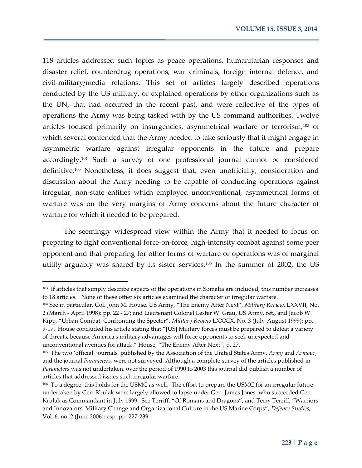118 articles addressed such topics as peace operations, humanitarian responses and disaster relief, counterdrug operations, war criminals, foreign internal defence, and civil-military/media relations. This set of articles largely described operations conducted by the US military, or explained operations by other organizations such as the UN, that had occurred in the recent past, and were reflective of the types of operations the Army was being tasked with by the US command authorities. Twelve articles focused primarily on insurgencies, asymmetrical warfare or terrorism,<sup>103</sup> of which several contended that the Army needed to take seriously that it might engage in asymmetric warfare against irregular opponents in the future and prepare accordingly.<sup>104</sup> Such a survey of one professional journal cannot be considered definitive.<sup>105</sup> Nonetheless, it does suggest that, even unofficially, consideration and discussion about the Army needing to be capable of conducting operations against irregular, non-state entities which employed unconventional, asymmetrical forms of warfare was on the very margins of Army concerns about the future character of warfare for which it needed to be prepared.

The seemingly widespread view within the Army that it needed to focus on preparing to fight conventional force-on-force, high-intensity combat against some peer opponent and that preparing for other forms of warfare or operations was of marginal utility arguably was shared by its sister services.<sup>106</sup> In the summer of 2002, the US

 $\overline{a}$ 

<sup>&</sup>lt;sup>103</sup> If articles that simply describe aspects of the operations in Somalia are included, this number increases to 18 articles. None of these other six articles examined the character of irregular warfare.

<sup>104</sup> See in particular, Col. John M. House, US Army, "The Enemy After Next", *Military Review*. LXXVII, No. 2 (March - April 1998): pp. 22 - 27; and Lieutenant Colonel Lester W. Grau, US Army, ret., and Jacob W. Kipp, "Urban Combat: Confronting the Specter", *Military Review* LXXXIX, No. 3 (July-August 1999): pp. 9-17. House concluded his article stating that "[US] Military forces must be prepared to defeat a variety of threats, because America's military advantages will force opponents to seek unexpected and unconventional avenues for attack." House, "The Enemy After Next", p. 27.

<sup>105</sup> The two 'official' journals published by the Association of the United States Army, *Army* and *Armour*, and the journal *Parameters*, were not surveyed. Although a complete survey of the articles published in *Parameters* was not undertaken, over the period of 1990 to 2003 this journal did publish a number of articles that addressed issues such irregular warfare.

<sup>&</sup>lt;sup>106</sup> To a degree, this holds for the USMC as well. The effort to prepare the USMC for an irregular future undertaken by Gen. Krulak were largely allowed to lapse under Gen. James Jones, who succeeded Gen. Krulak as Commandant in July 1999. See Terriff, "Of Romans and Dragons", and Terry Terriff, "Warriors and Innovators: Military Change and Organizational Culture in the US Marine Corps", *Defence Studies*, Vol. 6, no. 2 (June 2006): esp. pp. 227-239.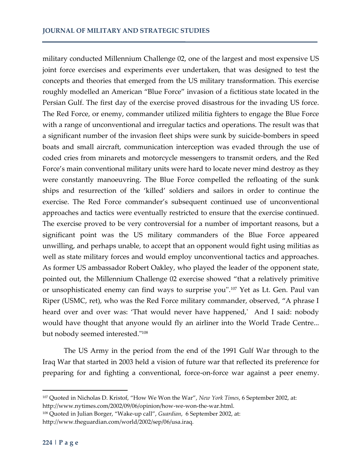military conducted Millennium Challenge 02, one of the largest and most expensive US joint force exercises and experiments ever undertaken, that was designed to test the concepts and theories that emerged from the US military transformation. This exercise roughly modelled an American "Blue Force" invasion of a fictitious state located in the Persian Gulf. The first day of the exercise proved disastrous for the invading US force. The Red Force, or enemy, commander utilized militia fighters to engage the Blue Force with a range of unconventional and irregular tactics and operations. The result was that a significant number of the invasion fleet ships were sunk by suicide-bombers in speed boats and small aircraft, communication interception was evaded through the use of coded cries from minarets and motorcycle messengers to transmit orders, and the Red Force's main conventional military units were hard to locate never mind destroy as they were constantly manoeuvring. The Blue Force compelled the refloating of the sunk ships and resurrection of the 'killed' soldiers and sailors in order to continue the exercise. The Red Force commander's subsequent continued use of unconventional approaches and tactics were eventually restricted to ensure that the exercise continued. The exercise proved to be very controversial for a number of important reasons, but a significant point was the US military commanders of the Blue Force appeared unwilling, and perhaps unable, to accept that an opponent would fight using militias as well as state military forces and would employ unconventional tactics and approaches. As former US ambassador Robert Oakley, who played the leader of the opponent state, pointed out, the Millennium Challenge 02 exercise showed "that a relatively primitive or unsophisticated enemy can find ways to surprise you''.<sup>107</sup> Yet as Lt. Gen. Paul van Riper (USMC, ret), who was the Red Force military commander, observed, "A phrase I heard over and over was: 'That would never have happened,' And I said: nobody would have thought that anyone would fly an airliner into the World Trade Centre... but nobody seemed interested."<sup>108</sup>

The US Army in the period from the end of the 1991 Gulf War through to the Iraq War that started in 2003 held a vision of future war that reflected its preference for preparing for and fighting a conventional, force-on-force war against a peer enemy.

l

<sup>107</sup> Quoted in Nicholas D. Kristof, "How We Won the War", *New York Times*, 6 September 2002, at: http://www.nytimes.com/2002/09/06/opinion/how-we-won-the-war.html.

<sup>108</sup> Quoted in Julian Borger, "Wake-up call", *Guardian*, 6 September 2002, at: http://www.theguardian.com/world/2002/sep/06/usa.iraq.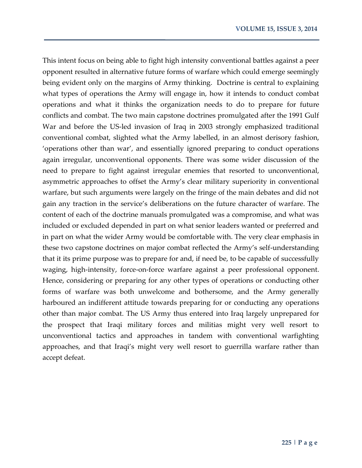This intent focus on being able to fight high intensity conventional battles against a peer opponent resulted in alternative future forms of warfare which could emerge seemingly being evident only on the margins of Army thinking. Doctrine is central to explaining what types of operations the Army will engage in, how it intends to conduct combat operations and what it thinks the organization needs to do to prepare for future conflicts and combat. The two main capstone doctrines promulgated after the 1991 Gulf War and before the US-led invasion of Iraq in 2003 strongly emphasized traditional conventional combat, slighted what the Army labelled, in an almost derisory fashion, 'operations other than war', and essentially ignored preparing to conduct operations again irregular, unconventional opponents. There was some wider discussion of the need to prepare to fight against irregular enemies that resorted to unconventional, asymmetric approaches to offset the Army's clear military superiority in conventional warfare, but such arguments were largely on the fringe of the main debates and did not gain any traction in the service's deliberations on the future character of warfare. The content of each of the doctrine manuals promulgated was a compromise, and what was included or excluded depended in part on what senior leaders wanted or preferred and in part on what the wider Army would be comfortable with. The very clear emphasis in these two capstone doctrines on major combat reflected the Army's self-understanding that it its prime purpose was to prepare for and, if need be, to be capable of successfully waging, high-intensity, force-on-force warfare against a peer professional opponent. Hence, considering or preparing for any other types of operations or conducting other forms of warfare was both unwelcome and bothersome, and the Army generally harboured an indifferent attitude towards preparing for or conducting any operations other than major combat. The US Army thus entered into Iraq largely unprepared for the prospect that Iraqi military forces and militias might very well resort to unconventional tactics and approaches in tandem with conventional warfighting approaches, and that Iraqi's might very well resort to guerrilla warfare rather than accept defeat.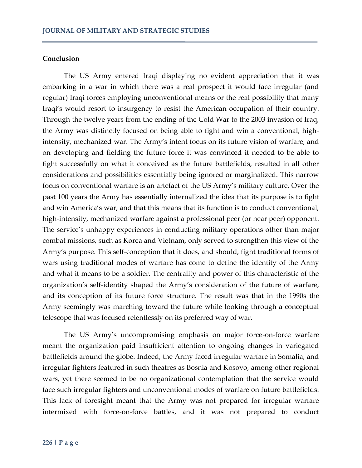#### **Conclusion**

The US Army entered Iraqi displaying no evident appreciation that it was embarking in a war in which there was a real prospect it would face irregular (and regular) Iraqi forces employing unconventional means or the real possibility that many Iraqi's would resort to insurgency to resist the American occupation of their country. Through the twelve years from the ending of the Cold War to the 2003 invasion of Iraq, the Army was distinctly focused on being able to fight and win a conventional, highintensity, mechanized war. The Army's intent focus on its future vision of warfare, and on developing and fielding the future force it was convinced it needed to be able to fight successfully on what it conceived as the future battlefields, resulted in all other considerations and possibilities essentially being ignored or marginalized. This narrow focus on conventional warfare is an artefact of the US Army's military culture. Over the past 100 years the Army has essentially internalized the idea that its purpose is to fight and win America's war, and that this means that its function is to conduct conventional, high-intensity, mechanized warfare against a professional peer (or near peer) opponent. The service's unhappy experiences in conducting military operations other than major combat missions, such as Korea and Vietnam, only served to strengthen this view of the Army's purpose. This self-conception that it does, and should, fight traditional forms of wars using traditional modes of warfare has come to define the identity of the Army and what it means to be a soldier. The centrality and power of this characteristic of the organization's self-identity shaped the Army's consideration of the future of warfare, and its conception of its future force structure. The result was that in the 1990s the Army seemingly was marching toward the future while looking through a conceptual telescope that was focused relentlessly on its preferred way of war.

The US Army's uncompromising emphasis on major force-on-force warfare meant the organization paid insufficient attention to ongoing changes in variegated battlefields around the globe. Indeed, the Army faced irregular warfare in Somalia, and irregular fighters featured in such theatres as Bosnia and Kosovo, among other regional wars, yet there seemed to be no organizational contemplation that the service would face such irregular fighters and unconventional modes of warfare on future battlefields. This lack of foresight meant that the Army was not prepared for irregular warfare intermixed with force-on-force battles, and it was not prepared to conduct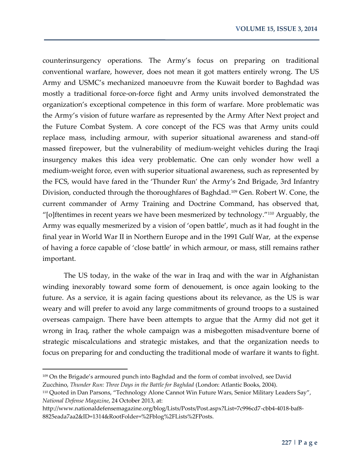counterinsurgency operations. The Army's focus on preparing on traditional conventional warfare, however, does not mean it got matters entirely wrong. The US Army and USMC's mechanized manoeuvre from the Kuwait border to Baghdad was mostly a traditional force-on-force fight and Army units involved demonstrated the organization's exceptional competence in this form of warfare. More problematic was the Army's vision of future warfare as represented by the Army After Next project and the Future Combat System. A core concept of the FCS was that Army units could replace mass, including armour, with superior situational awareness and stand-off massed firepower, but the vulnerability of medium-weight vehicles during the Iraqi insurgency makes this idea very problematic. One can only wonder how well a medium-weight force, even with superior situational awareness, such as represented by the FCS, would have fared in the 'Thunder Run' the Army's 2nd Brigade, 3rd Infantry Division, conducted through the thoroughfares of Baghdad.<sup>109</sup> Gen. Robert W. Cone, the current commander of Army Training and Doctrine Command, has observed that, "[o]ftentimes in recent years we have been mesmerized by technology."<sup>110</sup> Arguably, the Army was equally mesmerized by a vision of 'open battle', much as it had fought in the final year in World War II in Northern Europe and in the 1991 Gulf War, at the expense of having a force capable of 'close battle' in which armour, or mass, still remains rather important.

The US today, in the wake of the war in Iraq and with the war in Afghanistan winding inexorably toward some form of denouement, is once again looking to the future. As a service, it is again facing questions about its relevance, as the US is war weary and will prefer to avoid any large commitments of ground troops to a sustained overseas campaign. There have been attempts to argue that the Army did not get it wrong in Iraq, rather the whole campaign was a misbegotten misadventure borne of strategic miscalculations and strategic mistakes, and that the organization needs to focus on preparing for and conducting the traditional mode of warfare it wants to fight.

<sup>109</sup> On the Brigade's armoured punch into Baghdad and the form of combat involved, see David Zucchino, *Thunder Run: Three Days in the Battle for Baghdad* (London: Atlantic Books, 2004).

<sup>110</sup> Quoted in Dan Parsons, "Technology Alone Cannot Win Future Wars, Senior Military Leaders Say", *National Defense Magazine*, 24 October 2013, at:

http://www.nationaldefensemagazine.org/blog/Lists/Posts/Post.aspx?List=7c996cd7-cbb4-4018-baf8- 8825eada7aa2&ID=1314&RootFolder=%2Fblog%2FLists%2FPosts.